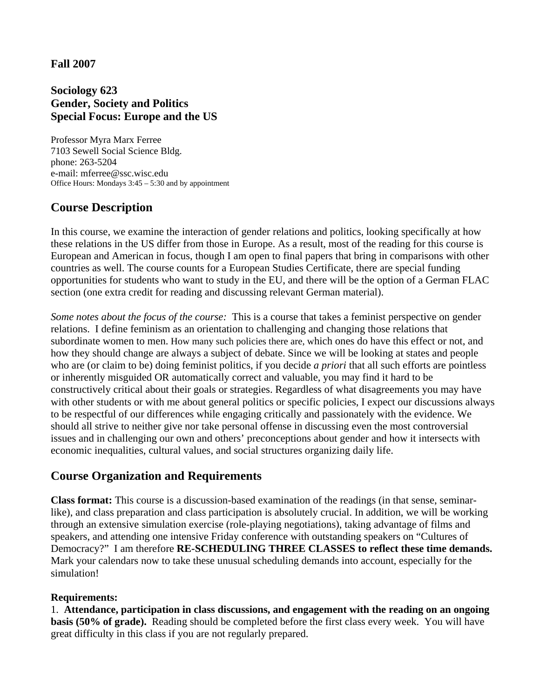## **Fall 2007**

## **Sociology 623 Gender, Society and Politics Special Focus: Europe and the US**

Professor Myra Marx Ferree 7103 Sewell Social Science Bldg. phone: 263-5204 e-mail: mferree@ssc.wisc.edu Office Hours: Mondays 3:45 – 5:30 and by appointment

# **Course Description**

In this course, we examine the interaction of gender relations and politics, looking specifically at how these relations in the US differ from those in Europe. As a result, most of the reading for this course is European and American in focus, though I am open to final papers that bring in comparisons with other countries as well. The course counts for a European Studies Certificate, there are special funding opportunities for students who want to study in the EU, and there will be the option of a German FLAC section (one extra credit for reading and discussing relevant German material).

*Some notes about the focus of the course:* This is a course that takes a feminist perspective on gender relations. I define feminism as an orientation to challenging and changing those relations that subordinate women to men. How many such policies there are, which ones do have this effect or not, and how they should change are always a subject of debate. Since we will be looking at states and people who are (or claim to be) doing feminist politics, if you decide *a priori* that all such efforts are pointless or inherently misguided OR automatically correct and valuable, you may find it hard to be constructively critical about their goals or strategies. Regardless of what disagreements you may have with other students or with me about general politics or specific policies, I expect our discussions always to be respectful of our differences while engaging critically and passionately with the evidence. We should all strive to neither give nor take personal offense in discussing even the most controversial issues and in challenging our own and others' preconceptions about gender and how it intersects with economic inequalities, cultural values, and social structures organizing daily life.

## **Course Organization and Requirements**

**Class format:** This course is a discussion-based examination of the readings (in that sense, seminarlike), and class preparation and class participation is absolutely crucial. In addition, we will be working through an extensive simulation exercise (role-playing negotiations), taking advantage of films and speakers, and attending one intensive Friday conference with outstanding speakers on "Cultures of Democracy?" I am therefore **RE-SCHEDULING THREE CLASSES to reflect these time demands.**  Mark your calendars now to take these unusual scheduling demands into account, especially for the simulation!

## **Requirements:**

1. **Attendance, participation in class discussions, and engagement with the reading on an ongoing basis (50% of grade).** Reading should be completed before the first class every week. You will have great difficulty in this class if you are not regularly prepared.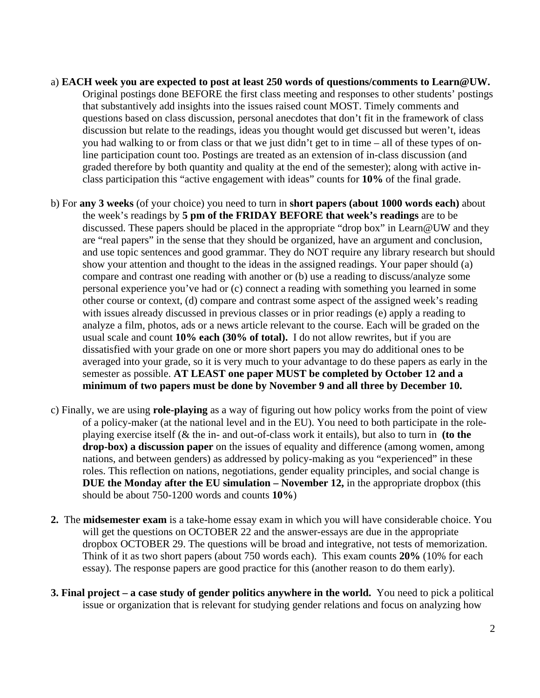- a) EACH week you are expected to post at least 250 words of questions/comments to Learn@UW. Original postings done BEFORE the first class meeting and responses to other students' posting s that substantively add insights into the issues raised count MOST. Timely comments and questions based on class discussion, personal anecdotes that don't fit in the framework of class discussion but relate to the readings, ideas you thought would get discussed but weren't, ideas you had walking to or from class or that we just didn't get to in time – all of these types of online participation count too. Postings are treated as an extension of in-class discussion (and graded therefore by both quantity and quality at the end of the semester); along with active i nclass participation this "active engagement with ideas" counts for **10%** of the final grade.
- b) For **any 3 weeks** (of your choice) you need to turn in **short papers (about 1000 words each)** about and use topic sentences and good grammar. They do NOT require any library research but should analyze a film, photos, ads or a news article relevant to the course. Each will be graded on the averaged into your grade, so it is very much to your advantage to do these papers as early in the the week's readings by **5 pm of the FRIDAY BEFORE that week's readings** are to be discussed. These papers should be placed in the appropriate "drop box" in Learn@UW and they are "real papers" in the sense that they should be organized, have an argument and conclusion, show your attention and thought to the ideas in the assigned readings. Your paper should (a) compare and contrast one reading with another or (b) use a reading to discuss/analyze some personal experience you've had or (c) connect a reading with something you learned in some other course or context, (d) compare and contrast some aspect of the assigned week's reading with issues already discussed in previous classes or in prior readings (e) apply a reading to usual scale and count **10% each (30% of total).** I do not allow rewrites, but if you are dissatisfied with your grade on one or more short papers you may do additional ones to be semester as possible. **AT LEAST one paper MUST be completed by October 12 and a minimum of two papers must be done by November 9 and all three by December 10.**
- c) Fina lly, we are using **role-playing** as a way of figuring out how policy works from the point of view **DUE the Monday after the EU simulation – November 12, in the appropriate dropbox (this** of a policy-maker (at the national level and in the EU). You need to both participate in the roleplaying exercise itself (& the in- and out-of-class work it entails), but also to turn in **(to the drop-box) a discussion paper** on the issues of equality and difference (among women, among nations, and between genders) as addressed by policy-making as you "experienced" in these roles. This reflection on nations, negotiations, gender equality principles, and social change is should be about 750-1200 words and counts **10%**)
- **2.** The **midsemester exam** is a take-home essay exam in which you will have considerable choice. You Think of it as two short papers (about 750 words each). This exam counts 20% (10% for each will get the questions on OCTOBER 22 and the answer-essays are due in the appropriate dropbox OCTOBER 29. The questions will be broad and integrative, not tests of memorization. essay). The response papers are good practice for this (another reason to do them early).
- **3. Final project a case study of gender politics anywhere in the world.** You need to pick a political issue or organization that is relevant for studying gender relations and focus on analyzing how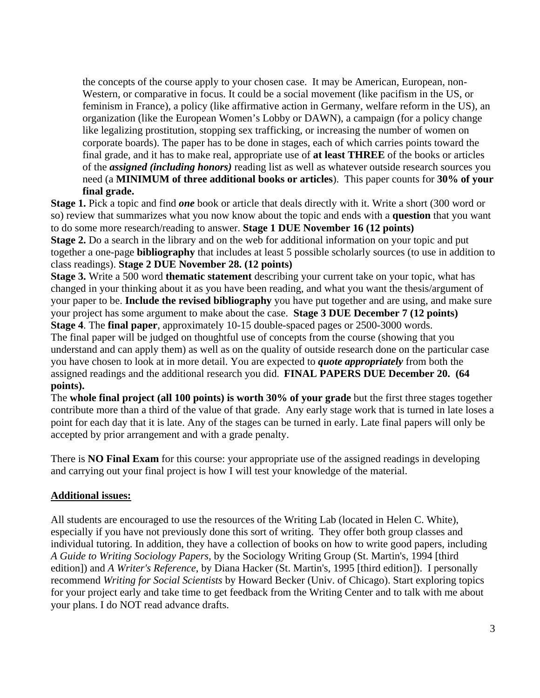feminism in France), a policy (like affirmative action in Germany, welfare reform in the US), an of the *assigned (including honors)* reading list as well as whatever outside research sources you the concepts of the course apply to your chosen case. It may be American, European, non-Western, or comparative in focus. It could be a social movement (like pacifism in the US, or organization (like the European Women's Lobby or DAWN), a campaign (for a policy change like legalizing prostitution, stopping sex trafficking, or increasing the number of women on corporate boards). The paper has to be done in stages, each of which carries points toward the final grade, and it has to make real, appropriate use of **at least THREE** of the books or articles need (a **MINIMUM of three additional books or articles**). This paper counts for **30% of your final grade.** 

Stage 1. Pick a topic and find *one* book or article that deals directly with it. Write a short (300 word or so) review that summarizes what you now know about the topic and ends with a question that you want to do some more research/reading to answer. **Stage 1 DUE November 16 (12 points)**

Stage 2. Do a search in the library and on the web for additional information on your topic and put together a one-page **bibliography** that includes at least 5 possible scholarly sources (to use in addition to class readings). **Stage 2 DUE November 28. (12 points)**

changed in your thinking about it as you have been reading, and what you want the thesis/argument of your paper to be. Include the revised bibliography you have put together and are using, and make sure **Stage 3.** Write a 500 word **thematic statement** describing your current take on your topic, what has your project has some argument to make about the case. **Stage 3 DUE December 7 (12 points)**

understand and can apply them) as well as on the quality of outside research done on the particular case you have chosen to look at in more detail. You are expected to *quote appropriately* from both the **Stage 4**. The **final paper**, approximately 10-15 double-spaced pages or 2500-3000 words. The final paper will be judged on thoughtful use of concepts from the course (showing that you assigned readings and the additional research you did. **FINAL PAPERS DUE December 20. (64 points).** 

contribute more than a third of the value of that grade. Any early stage work that is turned in late loses a point for each day that it is late. Any of the stages can be turned in early. Late final papers will only be The **whole final project (all 100 points) is worth 30% of your grade** but the first three stages together accepted by prior arrangement and with a grade penalty.

There is **NO Final Exam** for this course: your appropriate use of the assigned readings in developing and carrying out your final project is how I will test your knowledge of the material.

## **Additional issues:**

All students are encouraged to use the resources of the Writing Lab (located in Helen C. White), especially if you have not previously done this sort of writing. They offer both group classes and individual tutoring. In addition, they have a collection of books on how to write good papers, includin g *A Guide to Writing Sociology Papers,* by the Sociology Writing Group (St. Martin's, 1994 [third edition]) and *A Writer's Reference*, by Diana Hacker (St. Martin's, 1995 [third edition]). I personally recommend *Writing for Social Scientists* by Howard Becker (Univ. of Chicago). Start exploring topics for your project early and take time to get feedback from the Writing Center and to talk with me about your plans. I do NOT read advance drafts.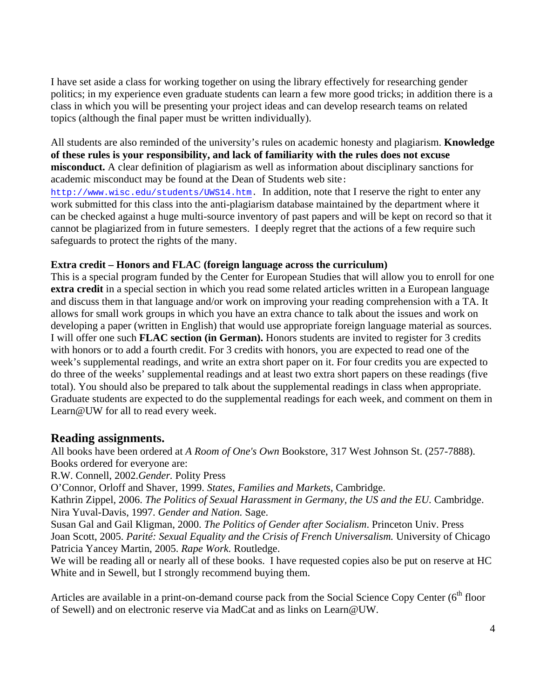I have set aside a class for working together on using the library effectively for researching gender politics; in my experience even graduate students can learn a few more good tricks; in addition there is a class in which you will be presenting your project ideas and can develop research teams on related topics (although the final paper must be written individually).

**e**  All students are also reminded of the university's rules on academic honesty and plagiarism. **Knowledg of these rules is your responsibility, and lack of familiarity with the rules does not excuse misconduct.** A clear definition of plagiarism as well as information about disciplinary sanctions for academic misconduct may be found at the Dean of Students web site: [http://www.wisc.edu/students/UWS14.htm.](http://www.wisc.edu/students/UWS14.htm) In addition, note that I reserve the right to enter any work submitted for this class into the anti-plagiarism database maintained by the department where it

can be checked against a huge multi-source inventory of past papers and will be kept on record so that it cannot be plagiarized from in future semesters. I deeply regret that the actions of a few require such safeguards to protect the rights of the many.

## **Extra credit – Honors and FLAC (foreign language across the curriculum)**

and discuss them in that language and/or work on improving your reading comprehension with a TA. It do three of the weeks' supplemental readings and at least two extra short papers on these readings (five total). You should also be prepared to talk about the supplemental readings in class when appropriate. Graduate students are expected to do the supplemental readings for each week, and comment on them in This is a special program funded by the Center for European Studies that will allow you to enroll for one **extra credit** in a special section in which you read some related articles written in a European language allows for small work groups in which you have an extra chance to talk about the issues and work on developing a paper (written in English) that would use appropriate foreign language material as sources. I will offer one such **FLAC section (in German).** Honors students are invited to register for 3 credits with honors or to add a fourth credit. For 3 credits with honors, you are expected to read one of the week's supplemental readings, and write an extra short paper on it. For four credits you are expected to Learn@UW for all to read every week.

# **Reading assignments.**

All books have been ordered at *A Room of One's Own* Bookstore, 317 West Johnson St. (257-7888). Books ordered for everyone are:

R.W. Connell, 2002.*Gender.* Polity Press

O'Connor, Orloff and Shaver, 1999. *States, Families and Markets*, Cambridge.

Kathrin Zippel, 2006. *The Politics of Sexual Harassment in Germany, the US and the EU.* Cambridge. Nira Yuval-Davis, 1997. *Gender and Nation.* Sage.

Joan Scott, 2005. Parité: Sexual Equality and the Crisis of French Universalism. University of Chicago Susan Gal and Gail Kligman, 2000. *The Politics of Gender after Socialism*. Princeton Univ. Press Patricia Yancey Martin, 2005. *Rape Work.* Routledge.

We will be reading all or nearly all of these books. I have requested copies also be put on reserve at HC White and in Sewell, but I strongly recommend buying them.

Articles are available in a print-on-demand course pack from the Social Science Copy Center (6<sup>th</sup> floor of Sewell) and on electronic reserve via MadCat and as links on Learn@UW.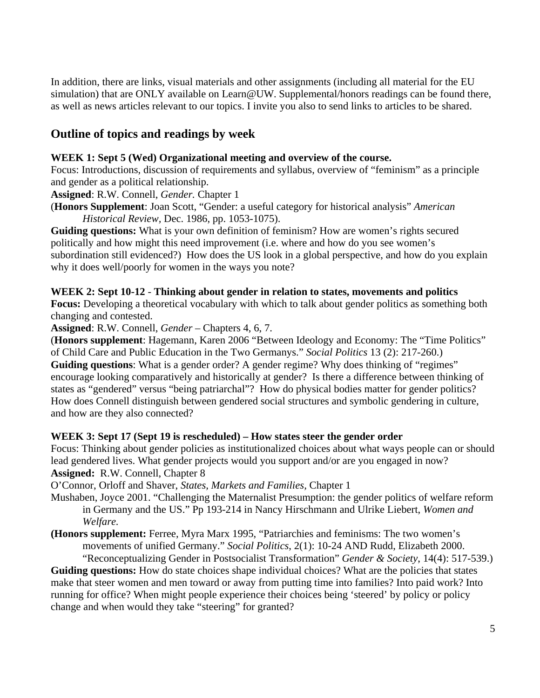In addition, there are links, visual materials and other assignments (including all material for the EU simulation) that are ONLY available on Learn@UW. Supplemental/honors readings can be found there, as well as news articles relevant to our topics. I invite you also to send links to articles to be shared.

# **Outline of topics and readings by week**

### WEEK 1: Sept 5 (Wed) Organizational meeting and overview of the course.

Focus: Introductions, discussion of requirements and syllabus, overview of "feminism" as a principle and gen der as a political relationship.

**Assigned**: R.W. Connell, *Gender.* Chapter 1

(Honors Supplement: Joan Scott, "Gender: a useful category for historical analysis" *American Historical Review,* Dec. 1986, pp. 1053-1075).

Guiding questions: What is your own definition of feminism? How are women's rights secured politically and how might this need improvement (i.e. where and how do you see women's subordination still evidenced?) How does the US look in a global perspective, and how do you explain why it does well/poorly for women in the ways you note?

#### WEEK 2: Sept 10-12 - Thinking about gender in relation to states, movements and politics

**Focus:** Developing a theoretical vocabulary with which to talk about gender politics as something both changing and contested.

**Assigned**: R.W. Connell, *Gender –* Chapters 4, 6, 7.

(**Honors supplement**: Hagemann, Karen 2006 "Between Ideology and Economy: The "Time Politics" of Child Care and Public Education in the Two Germanys." *Social Politics* 13 (2): 217-260.)

encourage looking comparatively and historically at gender? Is there a difference between thinking of states as "gendered" versus "being patriarchal"? How do physical bodies matter for gender politics? How does Connell distinguish between gendered social structures and symbolic gendering in culture, **Guiding questions**: What is a gender order? A gender regime? Why does thinking of "regimes" and how are they also connected?

## WEEK 3: Sept 17 (Sept 19 is rescheduled) – How states steer the gender order

Focus: Thinking about gender policies as institutionalized choices about what ways people can or should **Assign ed:** R.W. Connell, Chapter 8 lead gendered lives. What gender projects would you support and/or are you engaged in now?

O'Connor, Orloff and Shaver, *States, Markets and Families,* Chapter 1

- Mushaben, Joyce 2001. "Challenging the Maternalist Presumption: the gender politics of welfare reform in Germany and the US." Pp 193-214 in Nancy Hirschmann and Ulrike Liebert, *Women and Welfare.*
- **(Honors supplement:** Ferree, Myra Marx 1995, "Patriarchies and feminisms: The two women's movements of unified Germany." *Social Politics*, 2(1): 10-24 AND Rudd, Elizabeth 2000.

"Reconceptualizing Gender in Postsocialist Transformation" *Gender & Society*, 14(4): 517-539.) Guiding questions: How do state choices shape individual choices? What are the policies that states make that steer women and men toward or away from putting time into families? Into paid work? Into running for office? When might people experience their choices being 'steered' by policy or policy change and when would they take "steering" for granted?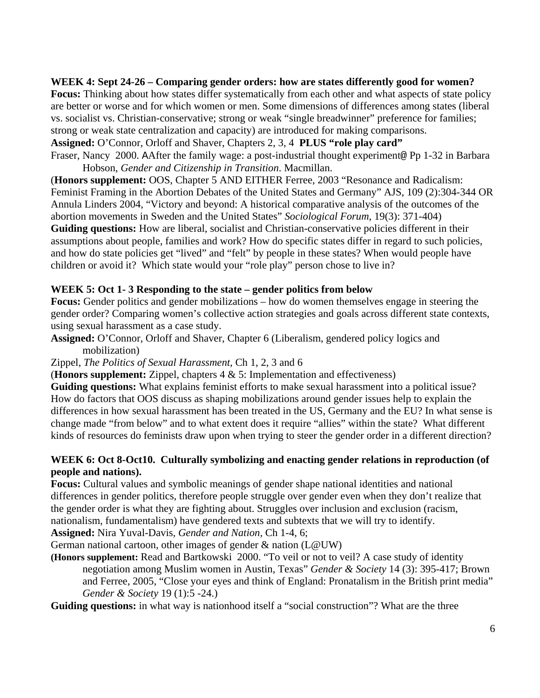## WEEK 4: Sept 24-26 – Comparing gender orders: how are states differently good for women?

vs. socialist vs. Christian-conservative; strong or weak "single breadwinner" preference for families; **Focus:** Thinking about how states differ systematically from each other and what aspects of state policy are better or worse and for which women or men. Some dimensions of differences among states (liberal strong or weak state centralization and capacity) are introduced for making comparisons.

**Assigned:** O'Connor, Orloff and Shaver, Chapters 2, 3, 4 **PLUS "role play card"** 

Fraser, Nancy 2000. AAfter the family wage: a post-industrial thought experiment@ Pp 1-32 in Barbara Hobson, *Gender and Citizenship in Transition*. Macmillan.

abortion movements in Sweden and the United States" *Sociological Forum*, 19(3): 371-404) Guiding questions: How are liberal, socialist and Christian-conservative policies different in their (**Honors supplement:** OOS, Chapter 5 AND EITHER Ferree, 2003 "Resonance and Radicalism: Feminist Framing in the Abortion Debates of the United States and Germany" AJS, 109 (2):304-344 OR Annula Linders 2004, "Victory and beyond: A historical comparative analysis of the outcomes of the assumptions about people, families and work? How do specific states differ in regard to such policies, and how do state policies get "lived" and "felt" by people in these states? When would people have children or avoid it? Which state would your "role play" person chose to live in?

## **WEEK 5: Oct 1- 3 Responding to the state – gender politics from below**

Focus: Gender politics and gender mobilizations – how do women themselves engage in steering the gender order? Comparing women's collective action strategies and goals across different state contexts, using sexual harassment as a case study.

**Assigned:** O'Connor, Orloff and Shaver, Chapter 6 (Liberalism, gendered policy logics and mobilization)

## Zippel, *The Politics of Sexual Harassment*, Ch 1, 2, 3 and 6

(**Honors supplement:** Zippel, chapters 4 & 5: Implementation and effectiveness)

change made "from below" and to what extent does it require "allies" within the state? What different kinds of resources do feminists draw upon when trying to steer the gender order in a different direction? **Guiding questions:** What explains feminist efforts to make sexual harassment into a political issue? How do factors that OOS discuss as shaping mobilizations around gender issues help to explain the differences in how sexual harassment has been treated in the US, Germany and the EU? In what sense is

## WEEK 6: Oct 8-Oct10. Culturally symbolizing and enacting gender relations in reproduction (of **people and nations).**

Focus: Cultural values and symbolic meanings of gender shape national identities and national differences in gender politics, therefore people struggle over gender even when they don't realize that nationa lism, fundamentalism) have gendered texts and subtexts that we will try to identify. the gender order is what they are fighting about. Struggles over inclusion and exclusion (racism,

**Assign ed:** Nira Yuval-Davis, *Gender and Nation,* Ch 1-4, 6;

German national cartoon, other images of gender & nation (L@UW)

**(Honors supplement:** Read and Bartkowski 2000. "To veil or not to veil? A case study of identity negotiation among Muslim women in Austin, Texas" *Gender & Society* 14 (3): 395-417; Brown and Ferree, 2005, "Close your eyes and think of England: Pronatalism in the British print media" *Gender & Society* 19 (1):5 -24.)

Guiding questions: in what way is nationhood itself a "social construction"? What are the three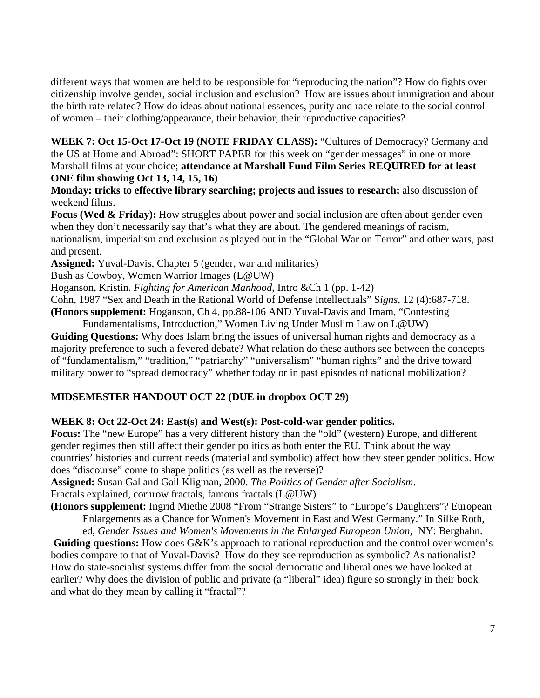citizenship involve gender, social inclusion and exclusion? How are issues about immigration and about the birth rate related? How do ideas about national essences, purity and race relate to the social control of women – their clothing/appearance, their behavior, their reproductive capacities? different ways that women are held to be responsible for "reproducing the nation"? How do fights over

WEEK 7: Oct 15-Oct 17-Oct 19 (NOTE FRIDAY CLASS): "Cultures of Democracy? Germany and Marshall films at your choice; attendance at Marshall Fund Film Series REQUIRED for at least the US at Home and Abroad": SHORT PAPER for this week on "gender messages" in one or more **ONE film showing Oct 13, 14, 15, 16)** 

**Monday: tricks to effective library searching; projects and issues to research;** also discussion of weekend films.

Focus (Wed & Friday): How struggles about power and social inclusion are often about gender even when they don't necessarily say that's what they are about. The gendered meanings of racism, nationalism, imperialism and exclusion as played out in the "Global War on Terror" and other wars, past and present.

**Assign ed:** Yuval-Davis, Chapter 5 (gender, war and militaries)

Bush as Cowboy, Women Warrior Images (L@UW)

Hoganson, Kristin. *Fighting for American Manhood*, Intro &Ch 1 (pp. 1-42)

Cohn, 1987 "Sex and Death in the Rational World of Defense Intellectuals" S*igns*, 12 (4):687-718. **(Honors supplement:** Hoganson, Ch 4, pp.88-106 AND Yuval-Davis and Imam, "Contesting

Fundamentalisms, Introduction," Women Living Under Muslim Law on L@UW)

Guiding Questions: Why does Islam bring the issues of universal human rights and democracy as a majority preference to such a fevered debate? What relation do these authors see between the concepts of "fundamentalism," "tradition," "patriarchy" "universalism" "human rights" and the drive toward military power to "spread democracy" whether today or in past episodes of national mobilization?

## **MIDSEMESTER HANDOUT OCT 22 (DUE in dropbox OCT 29)**

## **WEEK 8: Oct 22-Oct 24: East(s) and West(s): Post-cold-war gender politics.**

Focus: The "new Europe" has a very different history than the "old" (western) Europe, and different countri es' histories and current needs (material and symbolic) affect how they steer gender politics. How does "d iscourse" come to shape politics (as well as the reverse)? gender regimes then still affect their gender politics as both enter the EU. Think about the way

**Assigned:** Susan Gal and Gail Kligman, 2000. *The Politics of Gender after Socialism*. Fractals explained, cornrow fractals, famous fractals (L@UW)

(Honors supplement: Ingrid Miethe 2008 "From "Strange Sisters" to "Europe's Daughters"? European Enlargements as a Chance for Women's Movement in East and West Germany." In Silke Roth,

ed, *Gender Issues and Women's Movements in the Enlarged European Union, NY: Berghahn.* 

Guiding questions: How does G&K's approach to national reproduction and the control over women's bodies compare to that of Yuval-Davis? How do they see reproduction as symbolic? As nationalist? earlier? Why does the division of public and private (a "liberal" idea) figure so strongly in their book How do state-socialist systems differ from the social democratic and liberal ones we have looked at and what do they mean by calling it "fractal"?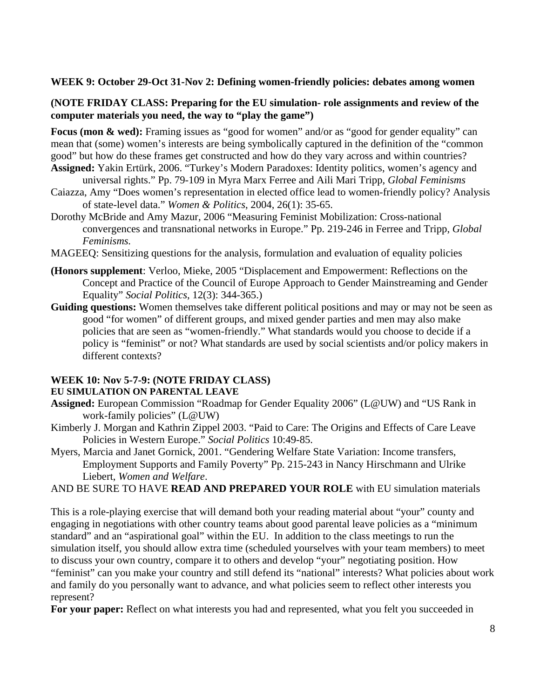#### **WEEK 9: October 29-Oct 31-Nov 2: Defining women-friendly policies: debates among women**

#### **(NOTE FRIDAY CLASS: Preparing for the EU simulation- role assignments and review of the computer materials you need, the way to "play the game")**

mean that (some) women's interests are being symbolically captured in the definition of the "common **Focus (mon & wed):** Framing issues as "good for women" and/or as "good for gender equality" can good" but how do these frames get constructed and how do they vary across and within countries?

- Assigned: Yakin Ertürk, 2006. "Turkey's Modern Paradoxes: Identity politics, women's agency and universal rights." Pp. 79-109 in Myra Marx Ferree and Aili Mari Tripp, *Global Feminisms*
- Caiazza, Amy "Does women's representation in elected office lead to women-friendly policy? Analysis of state-level data." *Women & Politics*, 2004, 26(1): 35-65.
- Doroth y McBride and Amy Mazur, 2006 "Measuring Feminist Mobilization: Cross-national convergences and transnational networks in Europe." Pp. 219-246 in Ferree and Tripp, Global *Feminisms.*
- MAGE EQ: Sensitizing questions for the analysis, formulation and evaluation of equality policies
- **(Honor s supplement**: Verloo, Mieke, 2005 "Displacement and Empowerment: Reflections on the , 12(3): 344-365.) Equality" *Social Politics* Concept and Practice of the Council of Europe Approach to Gender Mainstreaming and Gender
- Guiding questions: Women themselves take different political positions and may or may not be seen as good "for women" of different groups, and mixed gender parties and men may also make policies that are seen as "women-friendly." What standards would you choose to decide if a policy is "feminist" or not? What standards are used by social scientists and/or policy makers in different contexts?

#### **WEEK 10: Nov 5-7-9: (NOTE FRIDAY CLASS)**

#### **EU SIMULATION ON PARENTAL LEAVE**

- **Assign ed:** European Commission "Roadmap for Gender Equality 2006" (L@UW) and "US Rank in work-family policies" (L@UW)
- Kimberly J. Morgan and Kathrin Zippel 2003. "Paid to Care: The Origins and Effects of Care Leave Policies in Western Europe." *Social Politics* 10:49-85.
- Myers, Marcia and Janet Gornick, 2001. "Gendering Welfare State Variation: Income transfers, Employment Supports and Family Poverty" Pp. 215-243 in Nancy Hirschmann and Ulrike Liebert, *Women and Welfare*.

#### AND BE SURE TO HAVE **READ AND PREPARED YOUR ROLE** with EU simulation materials

simulation itself, you should allow extra time (scheduled yourselves with your team members) to meet This is a role-playing exercise that will demand both your reading material about "your" county and engaging in negotiations with other country teams about good parental leave policies as a "minimum standard" and an "aspirational goal" within the EU. In addition to the class meetings to run the to discuss your own country, compare it to others and develop "your" negotiating position. How "feminist" can you make your country and still defend its "national" interests? What policies about work and family do you personally want to advance, and what policies seem to reflect other interests you represent?

**For your paper:** Reflect on what interests you had and represented, what you felt you succeeded in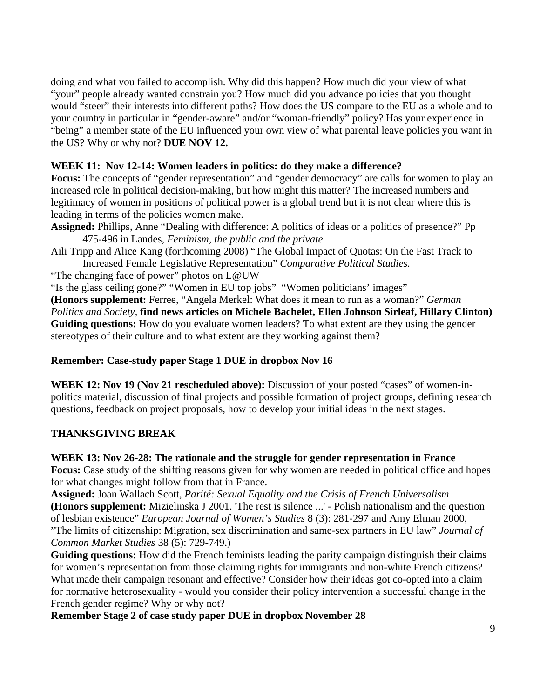doing and what you failed to accomplish. Why did this happen? How much did your view of what "your" people already wanted constrain you? How much did you advance policies that you thought your country in particular in "gender-aware" and/or "woman-friendly" policy? Has your experience in "being" a member state of the EU influenced your own view of what parental leave policies you want in would "steer" their interests into different paths? How does the US compare to the EU as a whole and to the US? Why or why not? **DUE NOV 12.** 

## **WEEK 11: Nov 12-14: Women leaders in politics: do they make a difference?**

Focus: The concepts of "gender representation" and "gender democracy" are calls for women to play an increased role in political decision-making, but how might this matter? The increased numbers and legitimacy of women in positions of political power is a global trend but it is not clear where this is leading in terms of the policies women make.

Assigned: Phillips, Anne "Dealing with difference: A politics of ideas or a politics of presence?" Pp 475-496 in Landes, *Feminism, the public and the private* 

**Increased Female Legislative Representation" Comparative Political Studies.** Aili Tripp and Alice Kang (forthcoming 2008) "The Global Impact of Quotas: On the Fast Track to

"The changing face of power" photos on L@UW

"Is the glass ceiling gone?" "Women in EU top jobs" "Women politicians' images"

**onors supplement:** Ferree, "Angela Merkel: What does it mean to run as a woman?" *German*  **(H on)**  *Politics and Society,* **find news articles on Michele Bachelet, Ellen Johnson Sirleaf, Hillary Clint Guiding questions:** How do you evaluate women leaders? To what extent are they using the gender stereotypes of their culture and to what extent are they working against them?

## **Remember: Case-study paper Stage 1 DUE in dropbox Nov 16**

questions, feedback on project proposals, how to develop your initial ideas in the next stages. **WEEK 12: Nov 19 (Nov 21 rescheduled above):** Discussion of your posted "cases" of women-inpolitics material, discussion of final projects and possible formation of project groups, defining research

## **THANKSGIVING BREAK**

## **WEEK 13: Nov 26-28: The rationale and the struggle for gender representation in France**

Focus: Case study of the shifting reasons given for why women are needed in political office and hopes for what changes might follow from that in France.

"The limits of citizenship: Migration, sex discrimination and same-sex partners in EU law" *Journal of* **Assigned:** Joan Wallach Scott, *Parité: Sexual Equality and the Crisis of French Universalism*  **(Honors supplement:** Mizielinska J 2001. 'The rest is silence ...' - Polish nationalism and the question of lesbian existence" *European Journal of Women's Studies* 8 (3): 281-297 and Amy Elman 2000, *Common Market Studies* 38 (5): 729-749.)

Guiding questions: How did the French feminists leading the parity campaign distinguish their claims for women's representation from those claiming rights for immigrants and non-white French citizens? What made their campaign resonant and effective? Consider how their ideas got co-opted into a claim for normative heterosexuality - would you consider their policy intervention a successful change in the French gender regime? Why or why not?

**Remember Stage 2 of case study paper DUE in dropbox November 28**